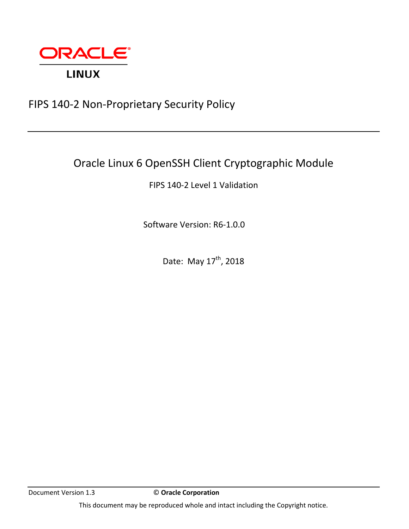

# FIPS 140-2 Non-Proprietary Security Policy

# Oracle Linux 6 OpenSSH Client Cryptographic Module

# FIPS 140-2 Level 1 Validation

Software Version: R6-1.0.0

Date: May 17<sup>th</sup>, 2018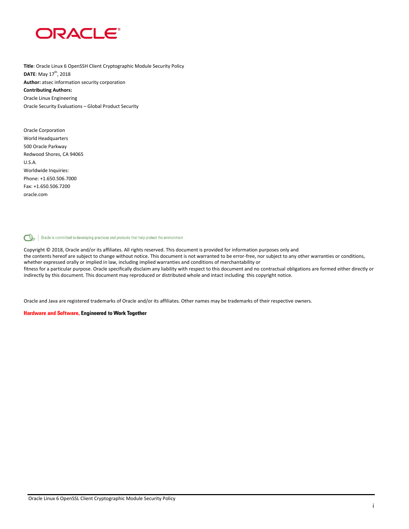

**Title**: Oracle Linux 6 OpenSSH Client Cryptographic Module Security Policy **DATE**: May 17<sup>th</sup>, 2018 **Author:** atsec information security corporation **Contributing Authors:**  Oracle Linux Engineering Oracle Security Evaluations – Global Product Security

Oracle Corporation World Headquarters 500 Oracle Parkway Redwood Shores, CA 94065 U.S.A. Worldwide Inquiries: Phone: +1.650.506.7000 Fax: +1.650.506.7200 oracle.com

Oracle is committed to developing practices and products that help protect the environment

Copyright © 2018, Oracle and/or its affiliates. All rights reserved. This document is provided for information purposes only and the contents hereof are subject to change without notice. This document is not warranted to be error-free, nor subject to any other warranties or conditions, whether expressed orally or implied in law, including implied warranties and conditions of merchantability or fitness for a particular purpose. Oracle specifically disclaim any liability with respect to this document and no contractual obligations are formed either directly or indirectly by this document. This document may reproduced or distributed whole and intact including this copyright notice.

Oracle and Java are registered trademarks of Oracle and/or its affiliates. Other names may be trademarks of their respective owners.

#### **Hardware and Software, Engineered to Work Together**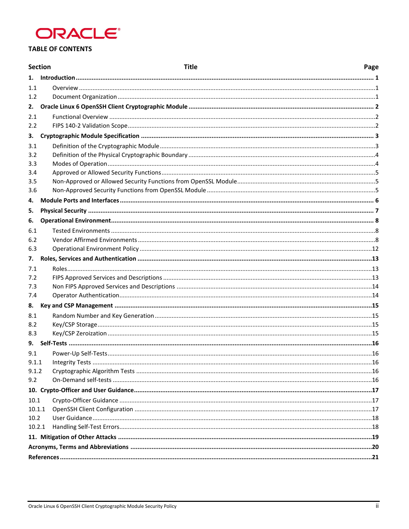# ORACLE<sup>®</sup>

# **TABLE OF CONTENTS**

| <b>Section</b> | Title | Page |
|----------------|-------|------|
| 1.             |       |      |
| 1.1            |       |      |
| 1.2            |       |      |
| 2.             |       |      |
| 2.1            |       |      |
| 2.2            |       |      |
| З.             |       |      |
| 3.1            |       |      |
| 3.2            |       |      |
| 3.3            |       |      |
| 3.4            |       |      |
| 3.5            |       |      |
| 3.6            |       |      |
| 4.             |       |      |
| 5.             |       |      |
| 6.             |       |      |
| 6.1            |       |      |
| 6.2            |       |      |
| 6.3            |       |      |
| 7.             |       |      |
| 7.1            |       |      |
| 7.2            |       |      |
| 7.3            |       |      |
| 7.4            |       |      |
| 8.             |       |      |
| 8.1            |       |      |
| 8.2            |       |      |
| 8.3            |       |      |
| 9.             |       |      |
| 9.1            |       |      |
| 9.1.1          |       |      |
| 9.1.2          |       |      |
| 9.2            |       |      |
|                |       |      |
| 10.1           |       |      |
| 10.1.1         |       |      |
| 10.2           |       |      |
| 10.2.1         |       |      |
|                |       |      |
|                |       |      |
|                |       |      |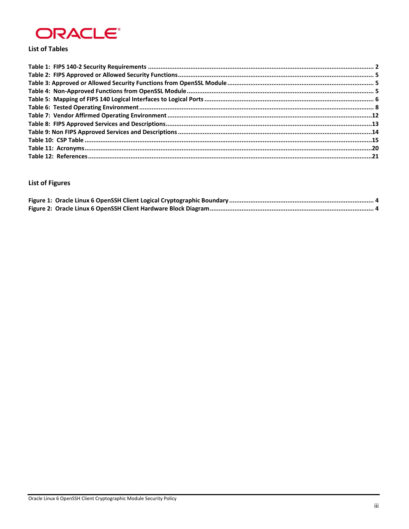

# **List of Tables**

# **List of Figures**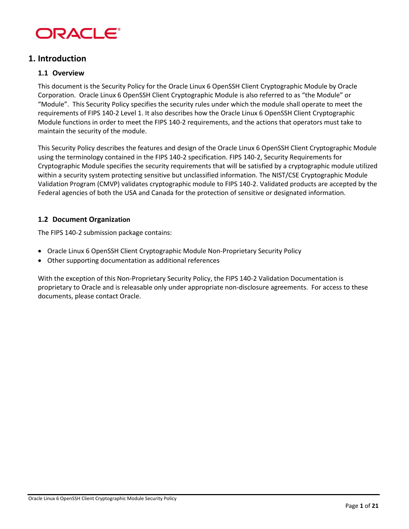

# **1. Introduction**

## **1.1 Overview**

This document is the Security Policy for the Oracle Linux 6 OpenSSH Client Cryptographic Module by Oracle Corporation. Oracle Linux 6 OpenSSH Client Cryptographic Module is also referred to as "the Module" or "Module". This Security Policy specifies the security rules under which the module shall operate to meet the requirements of FIPS 140-2 Level 1. It also describes how the Oracle Linux 6 OpenSSH Client Cryptographic Module functions in order to meet the FIPS 140-2 requirements, and the actions that operators must take to maintain the security of the module.

This Security Policy describes the features and design of the Oracle Linux 6 OpenSSH Client Cryptographic Module using the terminology contained in the FIPS 140-2 specification. FIPS 140-2, Security Requirements for Cryptographic Module specifies the security requirements that will be satisfied by a cryptographic module utilized within a security system protecting sensitive but unclassified information. The NIST/CSE Cryptographic Module Validation Program (CMVP) validates cryptographic module to FIPS 140-2. Validated products are accepted by the Federal agencies of both the USA and Canada for the protection of sensitive or designated information.

## **1.2 Document Organization**

The FIPS 140-2 submission package contains:

- Oracle Linux 6 OpenSSH Client Cryptographic Module Non-Proprietary Security Policy
- Other supporting documentation as additional references

With the exception of this Non-Proprietary Security Policy, the FIPS 140-2 Validation Documentation is proprietary to Oracle and is releasable only under appropriate non-disclosure agreements. For access to these documents, please contact Oracle.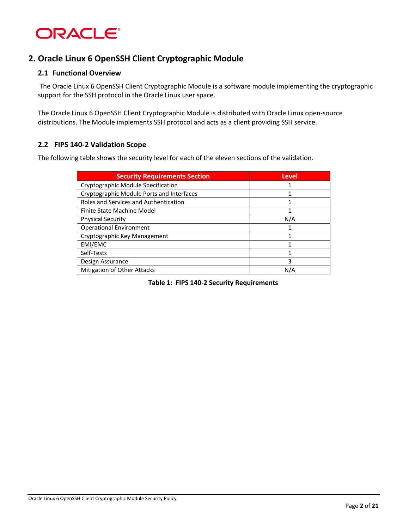

# **2. Oracle Linux 6 OpenSSH Client Cryptographic Module**

### **2.1 Functional Overview**

The Oracle Linux 6 OpenSSH Client Cryptographic Module is a software module implementing the cryptographic support for the SSH protocol in the Oracle Linux user space.

The Oracle Linux 6 OpenSSH Client Cryptographic Module is distributed with Oracle Linux open-source distributions. The Module implements SSH protocol and acts as a client providing SSH service.

## **2.2 FIPS 140-2 Validation Scope**

The following table shows the security level for each of the eleven sections of the validation.

<span id="page-5-0"></span>

| <b>Security Requirements Section</b>      | Level |
|-------------------------------------------|-------|
| Cryptographic Module Specification        |       |
| Cryptographic Module Ports and Interfaces |       |
| Roles and Services and Authentication     |       |
| Finite State Machine Model                |       |
| <b>Physical Security</b>                  | N/A   |
| <b>Operational Environment</b>            |       |
| Cryptographic Key Management              |       |
| EMI/EMC                                   |       |
| Self-Tests                                |       |
| Design Assurance                          | 3     |
| <b>Mitigation of Other Attacks</b>        | N/A   |

**Table 1: FIPS 140-2 Security Requirements**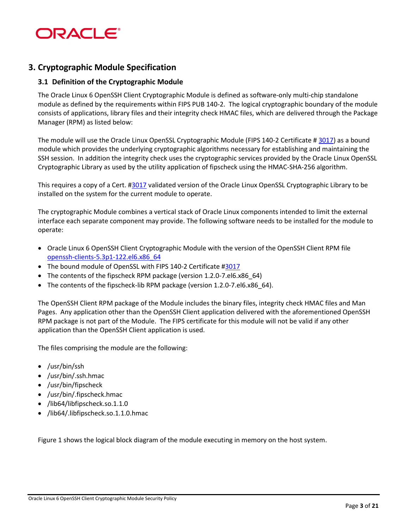

# **3. Cryptographic Module Specification**

### **3.1 Definition of the Cryptographic Module**

The Oracle Linux 6 OpenSSH Client Cryptographic Module is defined as software-only multi-chip standalone module as defined by the requirements within FIPS PUB 140-2. The logical cryptographic boundary of the module consists of applications, library files and their integrity check HMAC files, which are delivered through the Package Manager (RPM) as listed below:

The module will use the Oracle Linux OpenSSL Cryptographic Module (FIPS 140-2 Certificate # [3017\)](https://csrc.nist.gov/Projects/Cryptographic-Module-Validation-Program/Certificate/3017) as a bound module which provides the underlying cryptographic algorithms necessary for establishing and maintaining the SSH session. In addition the integrity check uses the cryptographic services provided by the Oracle Linux OpenSSL Cryptographic Library as used by the utility application of fipscheck using the HMAC-SHA-256 algorithm.

This requires a copy of a Cert. [#3017](https://csrc.nist.gov/Projects/Cryptographic-Module-Validation-Program/Certificate/3017) validated version of the Oracle Linux OpenSSL Cryptographic Library to be installed on the system for the current module to operate.

The cryptographic Module combines a vertical stack of Oracle Linux components intended to limit the external interface each separate component may provide. The following software needs to be installed for the module to operate:

- Oracle Linux 6 OpenSSH Client Cryptographic Module with the version of the OpenSSH Client RPM file [openssh-clients-5.3p1-122.el6.x86\\_64](http://yum.oracle.com/repo/OracleLinux/OL6/latest/x86_64/getPackage/openssh-clients-5.3p1-122.el6.x86_64.rpm)
- The bound module of OpenSSL with FIPS 140-2 Certificate [#3017](https://csrc.nist.gov/Projects/Cryptographic-Module-Validation-Program/Certificate/3017)
- The contents of the fipscheck RPM package (version 1.2.0-7.el6.x86 64)
- The contents of the fipscheck-lib RPM package (version 1.2.0-7.el6.x86 64).

The OpenSSH Client RPM package of the Module includes the binary files, integrity check HMAC files and Man Pages. Any application other than the OpenSSH Client application delivered with the aforementioned OpenSSH RPM package is not part of the Module. The FIPS certificate for this module will not be valid if any other application than the OpenSSH Client application is used.

The files comprising the module are the following:

- /usr/bin/ssh
- /usr/bin/.ssh.hmac
- /usr/bin/fipscheck
- /usr/bin/.fipscheck.hmac
- /lib64/libfipscheck.so.1.1.0
- /lib64/.libfipscheck.so.1.1.0.hmac

Figure 1 shows the logical block diagram of the module executing in memory on the host system.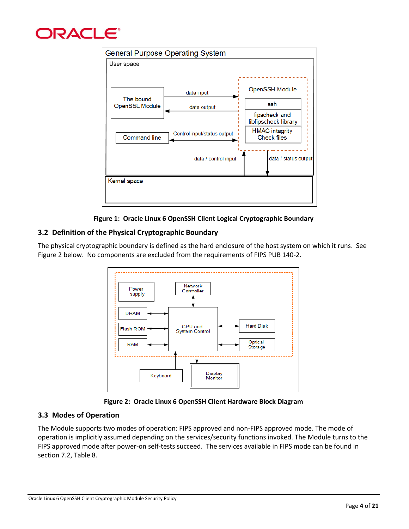# **DRACLE®**



**Figure 1: Oracle Linux 6 OpenSSH Client Logical Cryptographic Boundary**

# <span id="page-7-0"></span>**3.2 Definition of the Physical Cryptographic Boundary**

The physical cryptographic boundary is defined as the hard enclosure of the host system on which it runs. See Figure 2 below. No components are excluded from the requirements of FIPS PUB 140-2.



**Figure 2: Oracle Linux 6 OpenSSH Client Hardware Block Diagram**

# <span id="page-7-1"></span>**3.3 Modes of Operation**

The Module supports two modes of operation: FIPS approved and non-FIPS approved mode. The mode of operation is implicitly assumed depending on the services/security functions invoked. The Module turns to the FIPS approved mode after power-on self-tests succeed. The services available in FIPS mode can be found in section 7.2[, Table 8.](#page-16-0)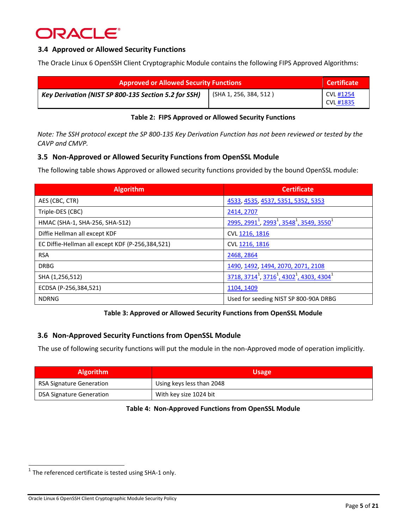# ORACLE®

# **3.4 Approved or Allowed Security Functions**

The Oracle Linux 6 OpenSSH Client Cryptographic Module contains the following FIPS Approved Algorithms:

| <b>Approved or Allowed Security Functions</b>        |                        | <b>Certificate</b>            |
|------------------------------------------------------|------------------------|-------------------------------|
| Key Derivation (NIST SP 800-135 Section 5.2 for SSH) | (SHA 1, 256, 384, 512) | CVL #1254<br><b>CVL #1835</b> |

### **Table 2: FIPS Approved or Allowed Security Functions**

<span id="page-8-0"></span>*Note: The SSH protocol except the SP 800-135 Key Derivation Function has not been reviewed or tested by the CAVP and CMVP.* 

## **3.5 Non-Approved or Allowed Security Functions from OpenSSL Module**

The following table shows Approved or allowed security functions provided by the bound OpenSSL module:

| <b>Algorithm</b>                                 | <b>Certificate</b>                                                                        |
|--------------------------------------------------|-------------------------------------------------------------------------------------------|
| AES (CBC, CTR)                                   | 4533, 4535, 4537, 5351, 5352, 5353                                                        |
| Triple-DES (CBC)                                 | 2414, 2707                                                                                |
| HMAC (SHA-1, SHA-256, SHA-512)                   | 2995, 2991 <sup>1</sup> , 2993 <sup>1</sup> , 3548 <sup>1</sup> , 3549, 3550 <sup>1</sup> |
| Diffie Hellman all except KDF                    | CVL 1216, 1816                                                                            |
| EC Diffie-Hellman all except KDF (P-256,384,521) | CVL 1216, 1816                                                                            |
| <b>RSA</b>                                       | 2468, 2864                                                                                |
| <b>DRBG</b>                                      | 1490, 1492, 1494, 2070, 2071, 2108                                                        |
| SHA (1,256,512)                                  | 3718, 3714 <sup>1</sup> , 3716 <sup>1</sup> , 4302 <sup>1</sup> , 4303, 4304 <sup>1</sup> |
| ECDSA (P-256,384,521)                            | 1104, 1409                                                                                |
| <b>NDRNG</b>                                     | Used for seeding NIST SP 800-90A DRBG                                                     |

### **Table 3: Approved or Allowed Security Functions from OpenSSL Module**

# <span id="page-8-3"></span><span id="page-8-1"></span>**3.6 Non-Approved Security Functions from OpenSSL Module**

The use of following security functions will put the module in the non-Approved mode of operation implicitly.

<span id="page-8-2"></span>

| <b>Algorithm</b>                | <b>Usage</b>              |
|---------------------------------|---------------------------|
| RSA Signature Generation        | Using keys less than 2048 |
| <b>DSA Signature Generation</b> | With key size 1024 bit    |

#### **Table 4: Non-Approved Functions from OpenSSL Module**

**The referenced certificate is tested using SHA-1 only.**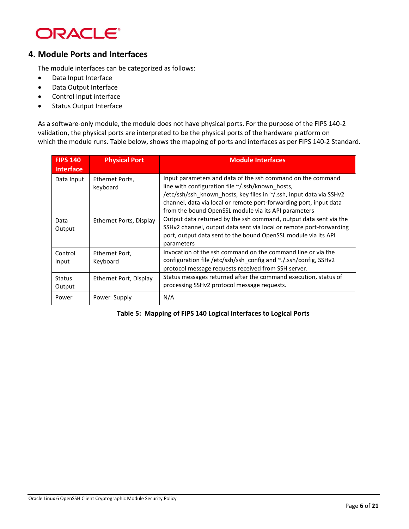

# **4. Module Ports and Interfaces**

The module interfaces can be categorized as follows:

- Data Input Interface
- Data Output Interface
- Control Input interface
- Status Output Interface

As a software-only module, the module does not have physical ports. For the purpose of the FIPS 140-2 validation, the physical ports are interpreted to be the physical ports of the hardware platform on which the module runs. Table below, shows the mapping of ports and interfaces as per FIPS 140-2 Standard.

| <b>FIPS 140</b><br><b>Interface</b> | <b>Physical Port</b>        | <b>Module Interfaces</b>                                                                                                                                                                                                                                                                                             |
|-------------------------------------|-----------------------------|----------------------------------------------------------------------------------------------------------------------------------------------------------------------------------------------------------------------------------------------------------------------------------------------------------------------|
| Data Input                          | Ethernet Ports,<br>keyboard | Input parameters and data of the ssh command on the command<br>line with configuration file ~/.ssh/known_hosts,<br>/etc/ssh/ssh known hosts, key files in ~/.ssh, input data via SSHv2<br>channel, data via local or remote port-forwarding port, input data<br>from the bound OpenSSL module via its API parameters |
| Data<br>Output                      | Ethernet Ports, Display     | Output data returned by the ssh command, output data sent via the<br>SSHv2 channel, output data sent via local or remote port-forwarding<br>port, output data sent to the bound OpenSSL module via its API<br>parameters                                                                                             |
| Control<br>Input                    | Ethernet Port,<br>Keyboard  | Invocation of the ssh command on the command line or via the<br>configuration file /etc/ssh/ssh config and ~./.ssh/config, SSHv2<br>protocol message requests received from SSH server.                                                                                                                              |
| <b>Status</b><br>Output             | Ethernet Port, Display      | Status messages returned after the command execution, status of<br>processing SSHv2 protocol message requests.                                                                                                                                                                                                       |
| Power                               | Power Supply                | N/A                                                                                                                                                                                                                                                                                                                  |

<span id="page-9-0"></span>**Table 5: Mapping of FIPS 140 Logical Interfaces to Logical Ports**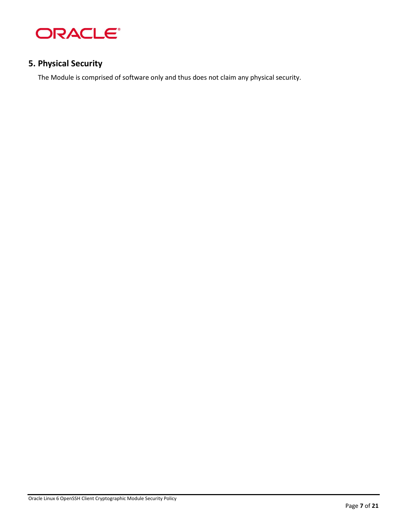

# **5. Physical Security**

The Module is comprised of software only and thus does not claim any physical security.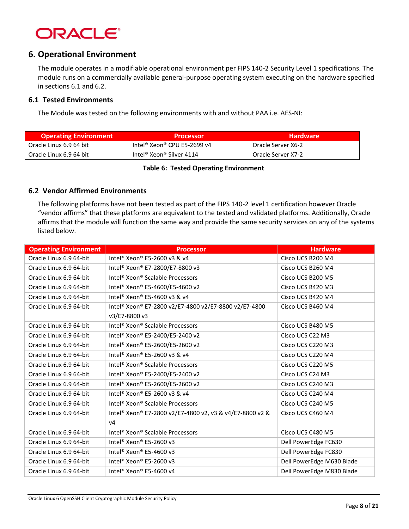

# **6. Operational Environment**

The module operates in a modifiable operational environment per FIPS 140-2 Security Level 1 specifications. The module runs on a commercially available general-purpose operating system executing on the hardware specified in sections 6.1 and 6.2.

### **6.1 Tested Environments**

The Module was tested on the following environments with and without PAA i.e. AES-NI:

| <b>Operating Environment</b> | <b>Processor</b>                                 | <b>Hardware</b>    |
|------------------------------|--------------------------------------------------|--------------------|
| Oracle Linux 6.9 64 bit      | Intel® Xeon® CPU E5-2699 v4                      | Oracle Server X6-2 |
| Oracle Linux 6.9 64 bit      | Intel <sup>®</sup> Xeon <sup>®</sup> Silver 4114 | Oracle Server X7-2 |

#### **Table 6: Tested Operating Environment**

### <span id="page-11-0"></span>**6.2 Vendor Affirmed Environments**

The following platforms have not been tested as part of the FIPS 140-2 level 1 certification however Oracle "vendor affirms" that these platforms are equivalent to the tested and validated platforms. Additionally, Oracle affirms that the module will function the same way and provide the same security services on any of the systems listed below.

| <b>Operating Environment</b> | <b>Processor</b>                                         | <b>Hardware</b>           |
|------------------------------|----------------------------------------------------------|---------------------------|
| Oracle Linux 6.9 64-bit      | Intel <sup>®</sup> Xeon® E5-2600 v3 & v4                 | Cisco UCS B200 M4         |
| Oracle Linux 6.9 64-bit      | Intel® Xeon® E7-2800/E7-8800 v3                          | Cisco UCS B260 M4         |
| Oracle Linux 6.9 64-bit      | Intel <sup>®</sup> Xeon <sup>®</sup> Scalable Processors | Cisco UCS B200 M5         |
| Oracle Linux 6.9 64-bit      | Intel® Xeon® E5-4600/E5-4600 v2                          | Cisco UCS B420 M3         |
| Oracle Linux 6.9 64-bit      | Intel <sup>®</sup> Xeon® E5-4600 v3 & v4                 | Cisco UCS B420 M4         |
| Oracle Linux 6.9 64-bit      | Intel® Xeon® E7-2800 v2/E7-4800 v2/E7-8800 v2/E7-4800    | Cisco UCS B460 M4         |
|                              | v3/E7-8800 v3                                            |                           |
| Oracle Linux 6.9 64-bit      | Intel <sup>®</sup> Xeon <sup>®</sup> Scalable Processors | Cisco UCS B480 M5         |
| Oracle Linux 6.9 64-bit      | Intel <sup>®</sup> Xeon <sup>®</sup> E5-2400/E5-2400 v2  | Cisco UCS C22 M3          |
| Oracle Linux 6.9 64-bit      | Intel® Xeon® E5-2600/E5-2600 v2                          | Cisco UCS C220 M3         |
| Oracle Linux 6.9 64-bit      | Intel <sup>®</sup> Xeon® E5-2600 v3 & v4                 | Cisco UCS C220 M4         |
| Oracle Linux 6.9 64-bit      | Intel <sup>®</sup> Xeon <sup>®</sup> Scalable Processors | Cisco UCS C220 M5         |
| Oracle Linux 6.9 64-bit      | Intel <sup>®</sup> Xeon <sup>®</sup> E5-2400/E5-2400 v2  | Cisco UCS C24 M3          |
| Oracle Linux 6.9 64-bit      | Intel® Xeon® E5-2600/E5-2600 v2                          | Cisco UCS C240 M3         |
| Oracle Linux 6.9 64-bit      | Intel <sup>®</sup> Xeon® E5-2600 v3 & v4                 | Cisco UCS C240 M4         |
| Oracle Linux 6.9 64-bit      | Intel <sup>®</sup> Xeon <sup>®</sup> Scalable Processors | Cisco UCS C240 M5         |
| Oracle Linux 6.9 64-bit      | Intel® Xeon® E7-2800 v2/E7-4800 v2, v3 & v4/E7-8800 v2 & | Cisco UCS C460 M4         |
|                              | v4                                                       |                           |
| Oracle Linux 6.9 64-bit      | Intel <sup>®</sup> Xeon <sup>®</sup> Scalable Processors | Cisco UCS C480 M5         |
| Oracle Linux 6.9 64-bit      | Intel <sup>®</sup> Xeon <sup>®</sup> E5-2600 v3          | Dell PowerEdge FC630      |
| Oracle Linux 6.9 64-bit      | Intel <sup>®</sup> Xeon <sup>®</sup> E5-4600 v3          | Dell PowerEdge FC830      |
| Oracle Linux 6.9 64-bit      | Intel <sup>®</sup> Xeon <sup>®</sup> E5-2600 v3          | Dell PowerEdge M630 Blade |
| Oracle Linux 6.9 64-bit      | Intel <sup>®</sup> Xeon <sup>®</sup> E5-4600 v4          | Dell PowerEdge M830 Blade |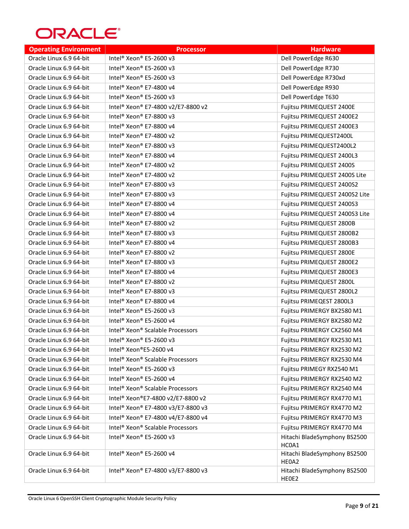# **ORACLE®**

| <b>Operating Environment</b> | <b>Processor</b>                                         | <b>Hardware</b>                       |
|------------------------------|----------------------------------------------------------|---------------------------------------|
| Oracle Linux 6.9 64-bit      | Intel® Xeon® E5-2600 v3                                  | Dell PowerEdge R630                   |
| Oracle Linux 6.9 64-bit      | Intel® Xeon® E5-2600 v3                                  | Dell PowerEdge R730                   |
| Oracle Linux 6.9 64-bit      | Intel® Xeon® E5-2600 v3                                  | Dell PowerEdge R730xd                 |
| Oracle Linux 6.9 64-bit      | Intel® Xeon® E7-4800 v4                                  | Dell PowerEdge R930                   |
| Oracle Linux 6.9 64-bit      | Intel® Xeon® E5-2600 v3                                  | Dell PowerEdge T630                   |
| Oracle Linux 6.9 64-bit      | Intel® Xeon® E7-4800 v2/E7-8800 v2                       | Fujitsu PRIMEQUEST 2400E              |
| Oracle Linux 6.9 64-bit      | Intel® Xeon® E7-8800 v3                                  | Fujitsu PRIMEQUEST 2400E2             |
| Oracle Linux 6.9 64-bit      | Intel® Xeon® E7-8800 v4                                  | Fujitsu PRIMEQUEST 2400E3             |
| Oracle Linux 6.9 64-bit      | Intel® Xeon® E7-4800 v2                                  | Fujitsu PRIMEQUEST2400L               |
| Oracle Linux 6.9 64-bit      | Intel® Xeon® E7-8800 v3                                  | Fujitsu PRIMEQUEST2400L2              |
| Oracle Linux 6.9 64-bit      | Intel® Xeon® E7-8800 v4                                  | Fujitsu PRIMEQUEST 2400L3             |
| Oracle Linux 6.9 64-bit      | Intel® Xeon® E7-4800 v2                                  | Fujitsu PRIMEQUEST 2400S              |
| Oracle Linux 6.9 64-bit      | Intel® Xeon® E7-4800 v2                                  | Fujitsu PRIMEQUEST 2400S Lite         |
| Oracle Linux 6.9 64-bit      | Intel® Xeon® E7-8800 v3                                  | Fujitsu PRIMEQUEST 2400S2             |
| Oracle Linux 6.9 64-bit      | Intel® Xeon® E7-8800 v3                                  | Fujitsu PRIMEQUEST 2400S2 Lite        |
| Oracle Linux 6.9 64-bit      | Intel <sup>®</sup> Xeon <sup>®</sup> E7-8800 v4          | Fujitsu PRIMEQUEST 2400S3             |
| Oracle Linux 6.9 64-bit      | Intel® Xeon® E7-8800 v4                                  | Fujitsu PRIMEQUEST 2400S3 Lite        |
| Oracle Linux 6.9 64-bit      | Intel® Xeon® E7-8800 v2                                  | Fujitsu PRIMEQUEST 2800B              |
| Oracle Linux 6.9 64-bit      | Intel® Xeon® E7-8800 v3                                  | Fujitsu PRIMEQUEST 2800B2             |
| Oracle Linux 6.9 64-bit      | Intel® Xeon® E7-8800 v4                                  | Fujitsu PRIMEQUEST 2800B3             |
| Oracle Linux 6.9 64-bit      | Intel® Xeon® E7-8800 v2                                  | Fujitsu PRIMEQUEST 2800E              |
| Oracle Linux 6.9 64-bit      | Intel® Xeon® E7-8800 v3                                  | Fujitsu PRIMEQUEST 2800E2             |
| Oracle Linux 6.9 64-bit      | Intel® Xeon® E7-8800 v4                                  | Fujitsu PRIMEQUEST 2800E3             |
| Oracle Linux 6.9 64-bit      | Intel® Xeon® E7-8800 v2                                  | Fujitsu PRIMEQUEST 2800L              |
| Oracle Linux 6.9 64-bit      | Intel® Xeon® E7-8800 v3                                  | Fujitsu PRIMEQUEST 2800L2             |
| Oracle Linux 6.9 64-bit      | Intel® Xeon® E7-8800 v4                                  | Fujitsu PRIMEQEST 2800L3              |
| Oracle Linux 6.9 64-bit      | Intel® Xeon® E5-2600 v3                                  | Fujitsu PRIMERGY BX2580 M1            |
| Oracle Linux 6.9 64-bit      | Intel <sup>®</sup> Xeon <sup>®</sup> E5-2600 v4          | Fujitsu PRIMERGY BX2580 M2            |
| Oracle Linux 6.9 64-bit      | Intel <sup>®</sup> Xeon <sup>®</sup> Scalable Processors | Fujitsu PRIMERGY CX2560 M4            |
| Oracle Linux 6.9 64-bit      | Intel® Xeon® E5-2600 v3                                  | Fujitsu PRIMERGY RX2530 M1            |
| Oracle Linux 6.9 64-bit      | Intel® Xeon®E5-2600 v4                                   | Fujitsu PRIMERGY RX2530 M2            |
| Oracle Linux 6.9 64-bit      | Intel <sup>®</sup> Xeon <sup>®</sup> Scalable Processors | Fujitsu PRIMERGY RX2530 M4            |
| Oracle Linux 6.9 64-bit      | Intel <sup>®</sup> Xeon <sup>®</sup> E5-2600 v3          | Fujitsu PRIMEGY RX2540 M1             |
| Oracle Linux 6.9 64-bit      | Intel® Xeon® E5-2600 v4                                  | Fujitsu PRIMERGY RX2540 M2            |
| Oracle Linux 6.9 64-bit      | Intel® Xeon® Scalable Processors                         | Fujitsu PRIMERGY RX2540 M4            |
| Oracle Linux 6.9 64-bit      | Intel® Xeon®E7-4800 v2/E7-8800 v2                        | Fujitsu PRIMERGY RX4770 M1            |
| Oracle Linux 6.9 64-bit      | Intel® Xeon® E7-4800 v3/E7-8800 v3                       | Fujitsu PRIMERGY RX4770 M2            |
| Oracle Linux 6.9 64-bit      | Intel® Xeon® E7-4800 v4/E7-8800 v4                       | Fujitsu PRIMERGY RX4770 M3            |
| Oracle Linux 6.9 64-bit      | Intel <sup>®</sup> Xeon <sup>®</sup> Scalable Processors | Fujitsu PRIMERGY RX4770 M4            |
| Oracle Linux 6.9 64-bit      | Intel® Xeon® E5-2600 v3                                  | Hitachi BladeSymphony BS2500          |
|                              |                                                          | HC0A1                                 |
| Oracle Linux 6.9 64-bit      | Intel® Xeon® E5-2600 v4                                  | Hitachi BladeSymphony BS2500<br>HE0A2 |
| Oracle Linux 6.9 64-bit      | Intel® Xeon® E7-4800 v3/E7-8800 v3                       | Hitachi BladeSymphony BS2500<br>HEOE2 |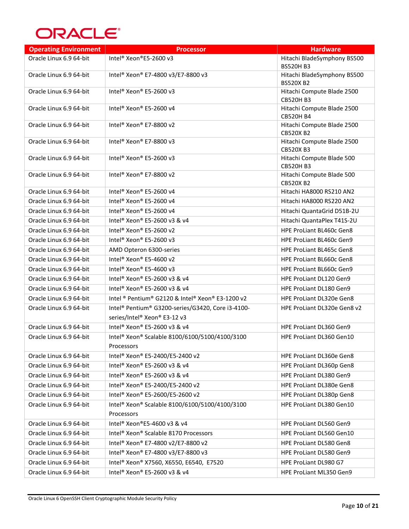# ORACLE<sup>®</sup>

| <b>Operating Environment</b> | <b>Processor</b>                                              | <b>Hardware</b>                                 |
|------------------------------|---------------------------------------------------------------|-------------------------------------------------|
| Oracle Linux 6.9 64-bit      | Intel® Xeon®E5-2600 v3                                        | Hitachi BladeSymphony BS500<br><b>BS520H B3</b> |
| Oracle Linux 6.9 64-bit      | Intel® Xeon® E7-4800 v3/E7-8800 v3                            | Hitachi BladeSymphony BS500<br><b>BS520X B2</b> |
| Oracle Linux 6.9 64-bit      | Intel® Xeon® E5-2600 v3                                       | Hitachi Compute Blade 2500<br><b>CB520H B3</b>  |
| Oracle Linux 6.9 64-bit      | Intel® Xeon® E5-2600 v4                                       | Hitachi Compute Blade 2500<br><b>CB520H B4</b>  |
| Oracle Linux 6.9 64-bit      | Intel® Xeon® E7-8800 v2                                       | Hitachi Compute Blade 2500<br><b>CB520X B2</b>  |
| Oracle Linux 6.9 64-bit      | Intel® Xeon® E7-8800 v3                                       | Hitachi Compute Blade 2500<br><b>CB520XB3</b>   |
| Oracle Linux 6.9 64-bit      | Intel® Xeon® E5-2600 v3                                       | Hitachi Compute Blade 500<br><b>CB520H B3</b>   |
| Oracle Linux 6.9 64-bit      | Intel® Xeon® E7-8800 v2                                       | Hitachi Compute Blade 500<br><b>CB520X B2</b>   |
| Oracle Linux 6.9 64-bit      | Intel® Xeon® E5-2600 v4                                       | Hitachi HA8000 RS210 AN2                        |
| Oracle Linux 6.9 64-bit      | Intel <sup>®</sup> Xeon <sup>®</sup> E5-2600 v4               | Hitachi HA8000 RS220 AN2                        |
| Oracle Linux 6.9 64-bit      | Intel® Xeon® E5-2600 v4                                       | Hitachi QuantaGrid D51B-2U                      |
| Oracle Linux 6.9 64-bit      | Intel® Xeon® E5-2600 v3 & v4                                  | Hitachi QuantaPlex T41S-2U                      |
| Oracle Linux 6.9 64-bit      | Intel <sup>®</sup> Xeon® E5-2600 v2                           | HPE ProLiant BL460c Gen8                        |
| Oracle Linux 6.9 64-bit      | Intel® Xeon® E5-2600 v3                                       | HPE ProLiant BL460c Gen9                        |
| Oracle Linux 6.9 64-bit      | AMD Opteron 6300-series                                       | HPE ProLiant BL465c Gen8                        |
| Oracle Linux 6.9 64-bit      | Intel® Xeon® E5-4600 v2                                       | HPE ProLiant BL660c Gen8                        |
| Oracle Linux 6.9 64-bit      | Intel <sup>®</sup> Xeon <sup>®</sup> E5-4600 v3               | <b>HPE ProLiant BL660c Gen9</b>                 |
| Oracle Linux 6.9 64-bit      | Intel® Xeon® E5-2600 v3 & v4                                  | HPE ProLiant DL120 Gen9                         |
| Oracle Linux 6.9 64-bit      | Intel® Xeon® E5-2600 v3 & v4                                  | HPE ProLiant DL180 Gen9                         |
| Oracle Linux 6.9 64-bit      | Intel ® Pentium® G2120 & Intel® Xeon® E3-1200 v2              | HPE ProLiant DL320e Gen8                        |
| Oracle Linux 6.9 64-bit      | Intel® Pentium® G3200-series/G3420, Core i3-4100-             | HPE ProLiant DL320e Gen8 v2                     |
|                              | series/Intel® Xeon® E3-12 v3                                  |                                                 |
| Oracle Linux 6.9 64-bit      | Intel® Xeon® E5-2600 v3 & v4                                  | HPE ProLiant DL360 Gen9                         |
| Oracle Linux 6.9 64-bit      | Intel® Xeon® Scalable 8100/6100/5100/4100/3100<br>Processors  | HPE ProLiant DL360 Gen10                        |
| Oracle Linux 6.9 64-bit      | Intel® Xeon® E5-2400/E5-2400 v2                               | HPE ProLiant DL360e Gen8                        |
| Oracle Linux 6.9 64-bit      | Intel® Xeon® E5-2600 v3 & v4                                  | HPE ProLiant DL360p Gen8                        |
| Oracle Linux 6.9 64-bit      | Intel® Xeon® E5-2600 v3 & v4                                  | HPE ProLiant DL380 Gen9                         |
| Oracle Linux 6.9 64-bit      | Intel® Xeon® E5-2400/E5-2400 v2                               | HPE ProLiant DL380e Gen8                        |
| Oracle Linux 6.9 64-bit      | Intel® Xeon® E5-2600/E5-2600 v2                               | HPE ProLiant DL380p Gen8                        |
| Oracle Linux 6.9 64-bit      | Intel® Xeon® Scalable 8100/6100/5100/4100/3100<br>Processors  | HPE ProLiant DL380 Gen10                        |
| Oracle Linux 6.9 64-bit      | Intel® Xeon®E5-4600 v3 & v4                                   | HPE ProLiant DL560 Gen9                         |
| Oracle Linux 6.9 64-bit      | Intel <sup>®</sup> Xeon <sup>®</sup> Scalable 8170 Processors | HPE ProLiant DL560 Gen10                        |
| Oracle Linux 6.9 64-bit      | Intel® Xeon® E7-4800 v2/E7-8800 v2                            | HPE ProLiant DL580 Gen8                         |
| Oracle Linux 6.9 64-bit      | Intel® Xeon® E7-4800 v3/E7-8800 v3                            | HPE ProLiant DL580 Gen9                         |
| Oracle Linux 6.9 64-bit      | Intel® Xeon® X7560, X6550, E6540, E7520                       | HPE ProLiant DL980 G7                           |
|                              |                                                               |                                                 |
| Oracle Linux 6.9 64-bit      | Intel® Xeon® E5-2600 v3 & v4                                  | HPE ProLiant ML350 Gen9                         |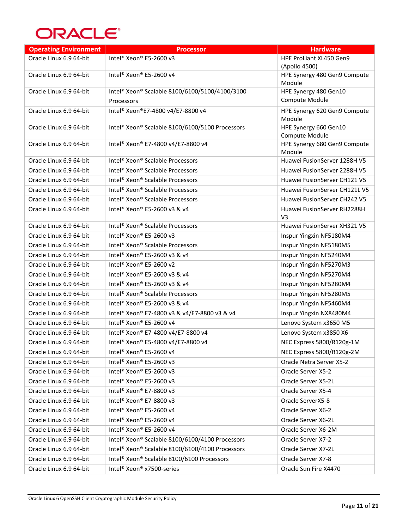# ORACLE<sup>®</sup>

| <b>Operating Environment</b> | <b>Processor</b>                                         | <b>Hardware</b>                               |
|------------------------------|----------------------------------------------------------|-----------------------------------------------|
| Oracle Linux 6.9 64-bit      | Intel® Xeon® E5-2600 v3                                  | HPE ProLiant XL450 Gen9<br>(Apollo 4500)      |
| Oracle Linux 6.9 64-bit      | Intel <sup>®</sup> Xeon <sup>®</sup> E5-2600 v4          | HPE Synergy 480 Gen9 Compute<br>Module        |
| Oracle Linux 6.9 64-bit      | Intel® Xeon® Scalable 8100/6100/5100/4100/3100           | HPE Synergy 480 Gen10                         |
|                              | Processors                                               | Compute Module                                |
| Oracle Linux 6.9 64-bit      | Intel® Xeon®E7-4800 v4/E7-8800 v4                        | HPE Synergy 620 Gen9 Compute                  |
|                              |                                                          | Module                                        |
| Oracle Linux 6.9 64-bit      | Intel® Xeon® Scalable 8100/6100/5100 Processors          | HPE Synergy 660 Gen10<br>Compute Module       |
| Oracle Linux 6.9 64-bit      | Intel® Xeon® E7-4800 v4/E7-8800 v4                       | HPE Synergy 680 Gen9 Compute<br>Module        |
| Oracle Linux 6.9 64-bit      | Intel <sup>®</sup> Xeon <sup>®</sup> Scalable Processors | Huawei FusionServer 1288H V5                  |
| Oracle Linux 6.9 64-bit      | Intel <sup>®</sup> Xeon <sup>®</sup> Scalable Processors | Huawei FusionServer 2288H V5                  |
| Oracle Linux 6.9 64-bit      | Intel <sup>®</sup> Xeon <sup>®</sup> Scalable Processors | Huawei FusionServer CH121 V5                  |
| Oracle Linux 6.9 64-bit      | Intel <sup>®</sup> Xeon <sup>®</sup> Scalable Processors | Huawei FusionServer CH121L V5                 |
| Oracle Linux 6.9 64-bit      | Intel <sup>®</sup> Xeon <sup>®</sup> Scalable Processors | Huawei FusionServer CH242 V5                  |
| Oracle Linux 6.9 64-bit      | Intel® Xeon® E5-2600 v3 & v4                             | Huawei FusionServer RH2288H<br>V <sub>3</sub> |
| Oracle Linux 6.9 64-bit      | Intel <sup>®</sup> Xeon <sup>®</sup> Scalable Processors | Huawei FusionServer XH321 V5                  |
| Oracle Linux 6.9 64-bit      | Intel® Xeon® E5-2600 v3                                  | Inspur Yingxin NF5180M4                       |
| Oracle Linux 6.9 64-bit      | Intel <sup>®</sup> Xeon <sup>®</sup> Scalable Processors | Inspur Yingxin NF5180M5                       |
| Oracle Linux 6.9 64-bit      | Intel <sup>®</sup> Xeon® E5-2600 v3 & v4                 | Inspur Yingxin NF5240M4                       |
| Oracle Linux 6.9 64-bit      | Intel® Xeon® E5-2600 v2                                  | Inspur Yingxin NF5270M3                       |
| Oracle Linux 6.9 64-bit      | Intel® Xeon® E5-2600 v3 & v4                             | Inspur Yingxin NF5270M4                       |
| Oracle Linux 6.9 64-bit      | Intel® Xeon® E5-2600 v3 & v4                             | Inspur Yingxin NF5280M4                       |
| Oracle Linux 6.9 64-bit      | Intel <sup>®</sup> Xeon <sup>®</sup> Scalable Processors | Inspur Yingxin NF5280M5                       |
| Oracle Linux 6.9 64-bit      | Intel® Xeon® E5-2600 v3 & v4                             | Inspur Yingxin NF5460M4                       |
| Oracle Linux 6.9 64-bit      | Intel® Xeon® E7-4800 v3 & v4/E7-8800 v3 & v4             | Inspur Yingxin NX8480M4                       |
| Oracle Linux 6.9 64-bit      | Intel <sup>®</sup> Xeon <sup>®</sup> E5-2600 v4          | Lenovo System x3650 M5                        |
| Oracle Linux 6.9 64-bit      | Intel® Xeon® E7-4800 v4/E7-8800 v4                       | Lenovo System x3850 X6                        |
| Oracle Linux 6.9 64-bit      | Intel® Xeon® E5-4800 v4/E7-8800 v4                       | NEC Express 5800/R120g-1M                     |
| Oracle Linux 6.9 64-bit      | Intel® Xeon® E5-2600 v4                                  | NEC Express 5800/R120g-2M                     |
| Oracle Linux 6.9 64-bit      | Intel® Xeon® E5-2600 v3                                  | Oracle Netra Server X5-2                      |
| Oracle Linux 6.9 64-bit      | Intel® Xeon® E5-2600 v3                                  | Oracle Server X5-2                            |
| Oracle Linux 6.9 64-bit      | Intel® Xeon® E5-2600 v3                                  | Oracle Server X5-2L                           |
| Oracle Linux 6.9 64-bit      | Intel® Xeon® E7-8800 v3                                  | Oracle Server X5-4                            |
| Oracle Linux 6.9 64-bit      | Intel® Xeon® E7-8800 v3                                  | Oracle ServerX5-8                             |
| Oracle Linux 6.9 64-bit      | Intel® Xeon® E5-2600 v4                                  | Oracle Server X6-2                            |
| Oracle Linux 6.9 64-bit      | Intel® Xeon® E5-2600 v4                                  | Oracle Server X6-2L                           |
| Oracle Linux 6.9 64-bit      | Intel® Xeon® E5-2600 v4                                  | Oracle Server X6-2M                           |
| Oracle Linux 6.9 64-bit      | Intel® Xeon® Scalable 8100/6100/4100 Processors          | Oracle Server X7-2                            |
| Oracle Linux 6.9 64-bit      | Intel® Xeon® Scalable 8100/6100/4100 Processors          | Oracle Server X7-2L                           |
| Oracle Linux 6.9 64-bit      | Intel® Xeon® Scalable 8100/6100 Processors               | Oracle Server X7-8                            |
| Oracle Linux 6.9 64-bit      | Intel® Xeon® x7500-series                                | Oracle Sun Fire X4470                         |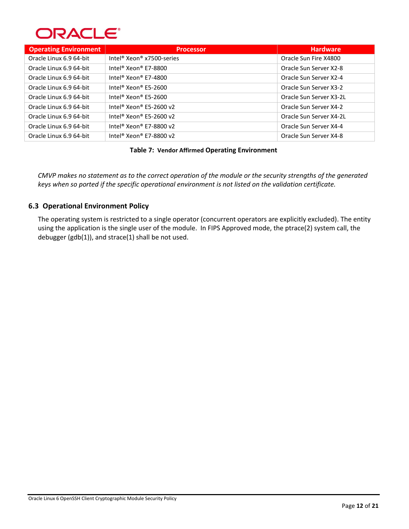# **ORACLE®**

| <b>Operating Environment</b> | <b>Processor</b>                                  | <b>Hardware</b>         |
|------------------------------|---------------------------------------------------|-------------------------|
| Oracle Linux 6.9 64-bit      | Intel <sup>®</sup> Xeon <sup>®</sup> x7500-series | Oracle Sun Fire X4800   |
| Oracle Linux 6.9 64-bit      | Intel <sup>®</sup> Xeon <sup>®</sup> E7-8800      | Oracle Sun Server X2-8  |
| Oracle Linux 6.9 64-bit      | Intel <sup>®</sup> Xeon <sup>®</sup> E7-4800      | Oracle Sun Server X2-4  |
| Oracle Linux 6.9 64-bit      | Intel <sup>®</sup> Xeon <sup>®</sup> E5-2600      | Oracle Sun Server X3-2  |
| Oracle Linux 6.9 64-bit      | Intel <sup>®</sup> Xeon <sup>®</sup> F5-2600      | Oracle Sun Server X3-2L |
| Oracle Linux 6.9 64-bit      | Intel <sup>®</sup> Xeon <sup>®</sup> E5-2600 v2   | Oracle Sun Server X4-2  |
| Oracle Linux 6.9 64-bit      | Intel <sup>®</sup> Xeon <sup>®</sup> E5-2600 v2   | Oracle Sun Server X4-2L |
| Oracle Linux 6.9 64-bit      | Intel <sup>®</sup> Xeon <sup>®</sup> E7-8800 v2   | Oracle Sun Server X4-4  |
| Oracle Linux 6.9 64-bit      | Intel <sup>®</sup> Xeon <sup>®</sup> E7-8800 v2   | Oracle Sun Server X4-8  |

## **Table 7: Vendor Affirmed Operating Environment**

<span id="page-15-0"></span>*CMVP makes no statement as to the correct operation of the module or the security strengths of the generated keys when so ported if the specific operational environment is not listed on the validation certificate.*

# **6.3 Operational Environment Policy**

The operating system is restricted to a single operator (concurrent operators are explicitly excluded). The entity using the application is the single user of the module. In FIPS Approved mode, the ptrace(2) system call, the debugger (gdb(1)), and strace(1) shall be not used.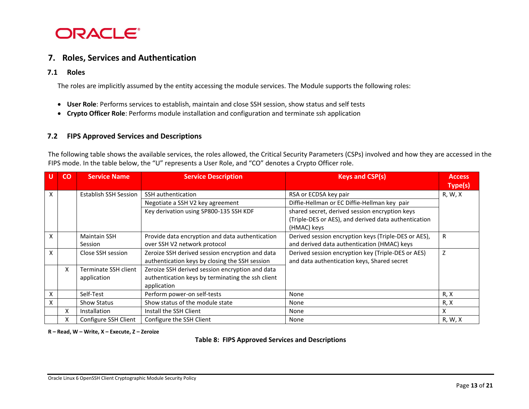

# **7. Roles, Services and Authentication**

**7.1 Roles**

The roles are implicitly assumed by the entity accessing the module services. The Module supports the following roles:

- **User Role**: Performs services to establish, maintain and close SSH session, show status and self tests
- **Crypto Officer Role**: Performs module installation and configuration and terminate ssh application

#### **7.2 FIPS Approved Services and Descriptions**

The following table shows the available services, the roles allowed, the Critical Security Parameters (CSPs) involved and how they are accessed in the FIPS mode. In the table below, the "U" represents a User Role, and "CO" denotes a Crypto Officer role.

| U | <b>CO</b>    | <b>Service Name</b>          | <b>Service Description</b>                        | <b>Keys and CSP(s)</b>                               | <b>Access</b> |
|---|--------------|------------------------------|---------------------------------------------------|------------------------------------------------------|---------------|
|   |              |                              |                                                   |                                                      | Type(s)       |
| X |              | <b>Establish SSH Session</b> | SSH authentication                                | RSA or ECDSA key pair                                | R, W, X       |
|   |              |                              | Negotiate a SSH V2 key agreement                  | Diffie-Hellman or EC Diffie-Hellman key pair         |               |
|   |              |                              | Key derivation using SP800-135 SSH KDF            | shared secret, derived session encryption keys       |               |
|   |              |                              |                                                   | (Triple-DES or AES), and derived data authentication |               |
|   |              |                              |                                                   | (HMAC) keys                                          |               |
| X |              | <b>Maintain SSH</b>          | Provide data encryption and data authentication   | Derived session encryption keys (Triple-DES or AES), | R             |
|   |              | Session                      | over SSH V2 network protocol                      | and derived data authentication (HMAC) keys          |               |
| X |              | Close SSH session            | Zeroize SSH derived session encryption and data   | Derived session encryption key (Triple-DES or AES)   | Z             |
|   |              |                              | authentication keys by closing the SSH session    | and data authentication keys, Shared secret          |               |
|   | $\mathsf{X}$ | Terminate SSH client         | Zeroize SSH derived session encryption and data   |                                                      |               |
|   |              | application                  | authentication keys by terminating the ssh client |                                                      |               |
|   |              |                              | application                                       |                                                      |               |
| X |              | Self-Test                    | Perform power-on self-tests                       | None                                                 | R, X          |
| X |              | <b>Show Status</b>           | Show status of the module state                   | None                                                 | R, X          |
|   | x            | Installation                 | Install the SSH Client                            | None                                                 | X             |
|   | x            | Configure SSH Client         | Configure the SSH Client                          | None                                                 | R, W, X       |

<span id="page-16-0"></span>**R – Read, W – Write, X – Execute, Z – Zeroize**

**Table 8: FIPS Approved Services and Descriptions**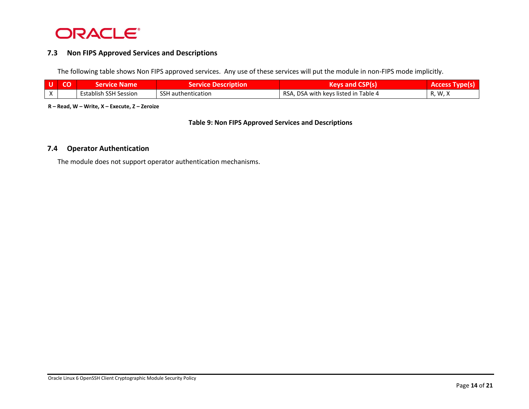

## **7.3 Non FIPS Approved Services and Descriptions**

The following table shows Non FIPS approved services. Any use of these services will put the module in non-FIPS mode implicitly.

| l U          | Service Name.         | 'Service Description | <b>Keys and CSP(s)</b>               | <b>Access</b> |
|--------------|-----------------------|----------------------|--------------------------------------|---------------|
| $\mathbf{v}$ | Establish SSH Session | SSH authentication   | RSA, DSA with keys listed in Table 4 | R, W, X       |

**R – Read, W – Write, X – Execute, Z – Zeroize**

#### **Table 9: Non FIPS Approved Services and Descriptions**

#### **7.4 Operator Authentication**

<span id="page-17-0"></span>The module does not support operator authentication mechanisms.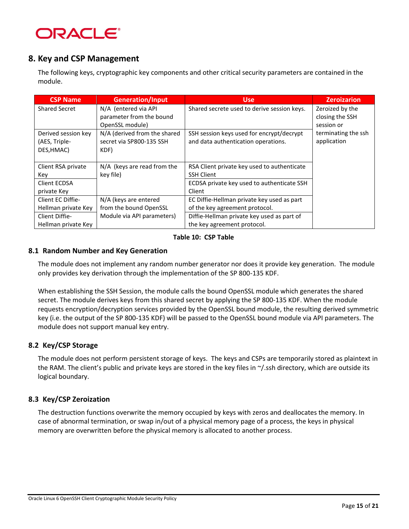# **ORACLE**®

# **8. Key and CSP Management**

The following keys, cryptographic key components and other critical security parameters are contained in the module.

| <b>CSP Name</b>      | <b>Generation/Input</b>                     | Use                                         | <b>Zeroizarion</b>            |
|----------------------|---------------------------------------------|---------------------------------------------|-------------------------------|
| <b>Shared Secret</b> | N/A (entered via API                        | Shared secrete used to derive session keys. | Zeroized by the               |
|                      | parameter from the bound<br>OpenSSL module) |                                             | closing the SSH<br>session or |
|                      |                                             |                                             |                               |
| Derived session key  | N/A (derived from the shared                | SSH session keys used for encrypt/decrypt   | terminating the ssh           |
| (AES, Triple-        | secret via SP800-135 SSH                    | and data authentication operations.         | application                   |
| DES, HMAC)           | KDF)                                        |                                             |                               |
|                      |                                             |                                             |                               |
| Client RSA private   | $N/A$ (keys are read from the               | RSA Client private key used to authenticate |                               |
| Key                  | key file)                                   | <b>SSH Client</b>                           |                               |
| Client ECDSA         |                                             | ECDSA private key used to authenticate SSH  |                               |
| private Key          |                                             | Client                                      |                               |
| Client EC Diffie-    | N/A (keys are entered                       | EC Diffie-Hellman private key used as part  |                               |
| Hellman private Key  | from the bound OpenSSL                      | of the key agreement protocol.              |                               |
| Client Diffie-       | Module via API parameters)                  | Diffie-Hellman private key used as part of  |                               |
| Hellman private Key  |                                             | the key agreement protocol.                 |                               |

### **Table 10: CSP Table**

## <span id="page-18-0"></span>**8.1 Random Number and Key Generation**

The module does not implement any random number generator nor does it provide key generation. The module only provides key derivation through the implementation of the SP 800-135 KDF.

When establishing the SSH Session, the module calls the bound OpenSSL module which generates the shared secret. The module derives keys from this shared secret by applying the SP 800-135 KDF. When the module requests encryption/decryption services provided by the OpenSSL bound module, the resulting derived symmetric key (i.e. the output of the SP 800-135 KDF) will be passed to the OpenSSL bound module via API parameters. The module does not support manual key entry.

# **8.2 Key/CSP Storage**

The module does not perform persistent storage of keys. The keys and CSPs are temporarily stored as plaintext in the RAM. The client's public and private keys are stored in the key files in  $\gamma$ /.ssh directory, which are outside its logical boundary.

# **8.3 Key/CSP Zeroization**

The destruction functions overwrite the memory occupied by keys with zeros and deallocates the memory. In case of abnormal termination, or swap in/out of a physical memory page of a process, the keys in physical memory are overwritten before the physical memory is allocated to another process.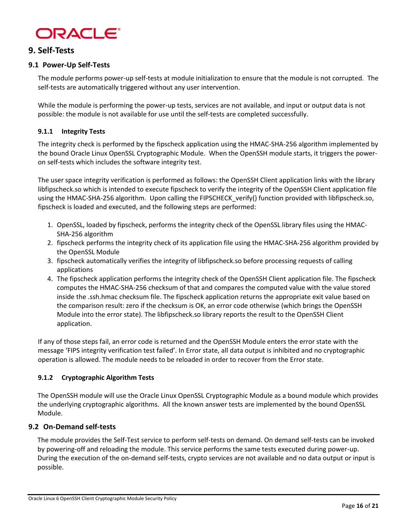

# **9. Self-Tests**

### **9.1 Power-Up Self-Tests**

The module performs power-up self-tests at module initialization to ensure that the module is not corrupted. The self-tests are automatically triggered without any user intervention.

While the module is performing the power-up tests, services are not available, and input or output data is not possible: the module is not available for use until the self-tests are completed successfully.

### **9.1.1 Integrity Tests**

The integrity check is performed by the fipscheck application using the HMAC-SHA-256 algorithm implemented by the bound Oracle Linux OpenSSL Cryptographic Module. When the OpenSSH module starts, it triggers the poweron self-tests which includes the software integrity test.

The user space integrity verification is performed as follows: the OpenSSH Client application links with the library libfipscheck.so which is intended to execute fipscheck to verify the integrity of the OpenSSH Client application file using the HMAC-SHA-256 algorithm. Upon calling the FIPSCHECK\_verify() function provided with libfipscheck.so, fipscheck is loaded and executed, and the following steps are performed:

- 1. OpenSSL, loaded by fipscheck, performs the integrity check of the OpenSSL library files using the HMAC-SHA-256 algorithm
- 2. fipscheck performs the integrity check of its application file using the HMAC-SHA-256 algorithm provided by the OpenSSL Module
- 3. fipscheck automatically verifies the integrity of libfipscheck.so before processing requests of calling applications
- 4. The fipscheck application performs the integrity check of the OpenSSH Client application file. The fipscheck computes the HMAC-SHA-256 checksum of that and compares the computed value with the value stored inside the .ssh.hmac checksum file. The fipscheck application returns the appropriate exit value based on the comparison result: zero if the checksum is OK, an error code otherwise (which brings the OpenSSH Module into the error state). The libfipscheck.so library reports the result to the OpenSSH Client application.

If any of those steps fail, an error code is returned and the OpenSSH Module enters the error state with the message 'FIPS integrity verification test failed'. In Error state, all data output is inhibited and no cryptographic operation is allowed. The module needs to be reloaded in order to recover from the Error state.

### **9.1.2 Cryptographic Algorithm Tests**

The OpenSSH module will use the Oracle Linux OpenSSL Cryptographic Module as a bound module which provides the underlying cryptographic algorithms. All the known answer tests are implemented by the bound OpenSSL Module.

### **9.2 On-Demand self-tests**

The module provides the Self-Test service to perform self-tests on demand. On demand self-tests can be invoked by powering-off and reloading the module. This service performs the same tests executed during power-up. During the execution of the on-demand self-tests, crypto services are not available and no data output or input is possible.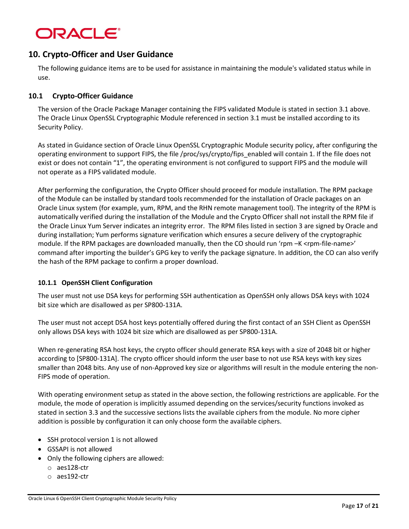

# **10. Crypto-Officer and User Guidance**

The following guidance items are to be used for assistance in maintaining the module's validated status while in use.

### **10.1 Crypto-Officer Guidance**

The version of the Oracle Package Manager containing the FIPS validated Module is stated in section 3.1 above. The Oracle Linux OpenSSL Cryptographic Module referenced in section 3.1 must be installed according to its Security Policy.

As stated in Guidance section of Oracle Linux OpenSSL Cryptographic Module security policy, after configuring the operating environment to support FIPS, the file /proc/sys/crypto/fips\_enabled will contain 1. If the file does not exist or does not contain "1", the operating environment is not configured to support FIPS and the module will not operate as a FIPS validated module.

After performing the configuration, the Crypto Officer should proceed for module installation. The RPM package of the Module can be installed by standard tools recommended for the installation of Oracle packages on an Oracle Linux system (for example, yum, RPM, and the RHN remote management tool). The integrity of the RPM is automatically verified during the installation of the Module and the Crypto Officer shall not install the RPM file if the Oracle Linux Yum Server indicates an integrity error. The RPM files listed in section 3 are signed by Oracle and during installation; Yum performs signature verification which ensures a secure delivery of the cryptographic module. If the RPM packages are downloaded manually, then the CO should run 'rpm -K <rpm-file-name>' command after importing the builder's GPG key to verify the package signature. In addition, the CO can also verify the hash of the RPM package to confirm a proper download.

### **10.1.1 OpenSSH Client Configuration**

The user must not use DSA keys for performing SSH authentication as OpenSSH only allows DSA keys with 1024 bit size which are disallowed as per SP800-131A.

The user must not accept DSA host keys potentially offered during the first contact of an SSH Client as OpenSSH only allows DSA keys with 1024 bit size which are disallowed as per SP800-131A.

When re-generating RSA host keys, the crypto officer should generate RSA keys with a size of 2048 bit or higher according to [SP800-131A]. The crypto officer should inform the user base to not use RSA keys with key sizes smaller than 2048 bits. Any use of non-Approved key size or algorithms will result in the module entering the non-FIPS mode of operation.

With operating environment setup as stated in the above section, the following restrictions are applicable. For the module, the mode of operation is implicitly assumed depending on the services/security functions invoked as stated in section 3.3 and the successive sections lists the available ciphers from the module. No more cipher addition is possible by configuration it can only choose form the available ciphers.

- SSH protocol version 1 is not allowed
- GSSAPI is not allowed
- Only the following ciphers are allowed:
	- o aes128-ctr
	- o aes192-ctr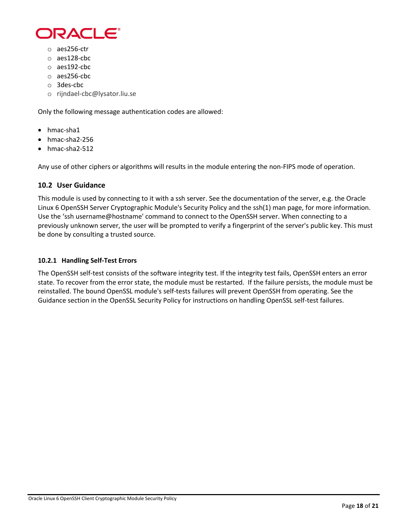

- o aes256-ctr
- o aes128-cbc
- o aes192-cbc
- o aes256-cbc
- o 3des-cbc
- o rijndael-cbc@lysator.liu.se

Only the following message authentication codes are allowed:

- hmac-sha1
- hmac-sha2-256
- hmac-sha2-512

Any use of other ciphers or algorithms will results in the module entering the non-FIPS mode of operation.

### **10.2 User Guidance**

This module is used by connecting to it with a ssh server. See the documentation of the server, e.g. the Oracle Linux 6 OpenSSH Server Cryptographic Module's Security Policy and the ssh(1) man page, for more information. Use the 'ssh username@hostname' command to connect to the OpenSSH server. When connecting to a previously unknown server, the user will be prompted to verify a fingerprint of the server's public key. This must be done by consulting a trusted source.

#### **10.2.1 Handling Self-Test Errors**

The OpenSSH self-test consists of the software integrity test. If the integrity test fails, OpenSSH enters an error state. To recover from the error state, the module must be restarted. If the failure persists, the module must be reinstalled. The bound OpenSSL module's self-tests failures will prevent OpenSSH from operating. See the Guidance section in the OpenSSL Security Policy for instructions on handling OpenSSL self-test failures.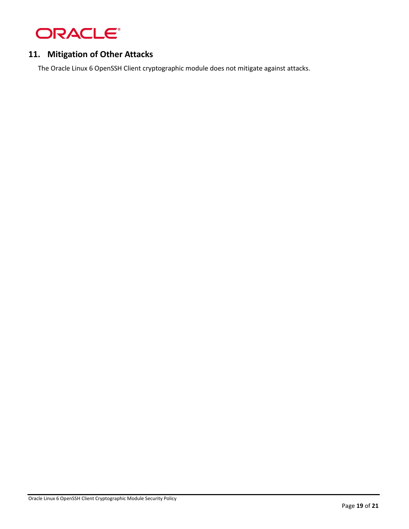

# **11. Mitigation of Other Attacks**

The Oracle Linux 6 OpenSSH Client cryptographic module does not mitigate against attacks.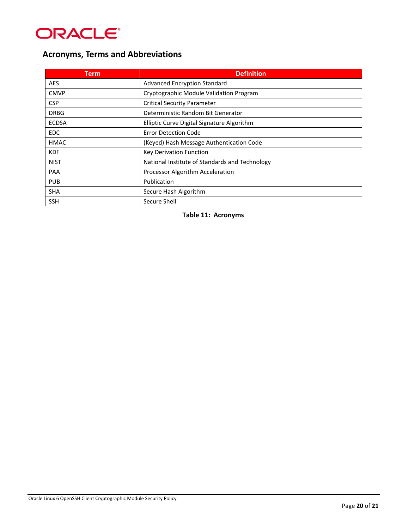

# **Acronyms, Terms and Abbreviations**

<span id="page-23-0"></span>

| <b>Term</b>  | <b>Definition</b>                              |  |
|--------------|------------------------------------------------|--|
| <b>AES</b>   | <b>Advanced Encryption Standard</b>            |  |
| <b>CMVP</b>  | Cryptographic Module Validation Program        |  |
| <b>CSP</b>   | <b>Critical Security Parameter</b>             |  |
| <b>DRBG</b>  | Deterministic Random Bit Generator             |  |
| <b>ECDSA</b> | Elliptic Curve Digital Signature Algorithm     |  |
| EDC.         | <b>Error Detection Code</b>                    |  |
| HMAC         | (Keyed) Hash Message Authentication Code       |  |
| <b>KDF</b>   | Key Derivation Function                        |  |
| <b>NIST</b>  | National Institute of Standards and Technology |  |
| PAA          | Processor Algorithm Acceleration               |  |
| <b>PUB</b>   | Publication                                    |  |
| <b>SHA</b>   | Secure Hash Algorithm                          |  |
| <b>SSH</b>   | Secure Shell                                   |  |

**Table 11: Acronyms**